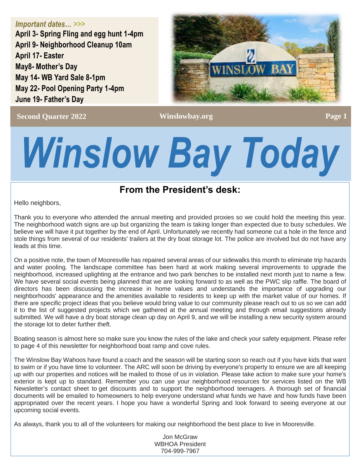*Important dates… >>>* **April 3- Spring Fling and egg hunt 1-4pm**

**April 9- Neighborhood Cleanup 10am April 17- Easter May8- Mother's Day May 14- WB Yard Sale 8-1pm May 22- Pool Opening Party 1-4pm June 19- Father's Day**



**Second Quarter 2022 Construction Construction Construction Construction Construction Construction Page 1** 

# *Winslow Bay Today*

# **From the President's desk:**

Hello neighbors,

Thank you to everyone who attended the annual meeting and provided proxies so we could hold the meeting this year. The neighborhood watch signs are up but organizing the team is taking longer than expected due to busy schedules. We believe we will have it put together by the end of April. Unfortunately we recently had someone cut a hole in the fence and stole things from several of our residents' trailers at the dry boat storage lot. The police are involved but do not have any leads at this time.

On a positive note, the town of Mooresville has repaired several areas of our sidewalks this month to eliminate trip hazards and water pooling. The landscape committee has been hard at work making several improvements to upgrade the neighborhood, increased uplighting at the entrance and two park benches to be installed next month just to name a few. We have several social events being planned that we are looking forward to as well as the PWC slip raffle. The board of directors has been discussing the increase in home values and understands the importance of upgrading our neighborhoods' appearance and the amenities available to residents to keep up with the market value of our homes. If there are specific project ideas that you believe would bring value to our community please reach out to us so we can add it to the list of suggested projects which we gathered at the annual meeting and through email suggestions already submitted. We will have a dry boat storage clean up day on April 9, and we will be installing a new security system around the storage lot to deter further theft.

Boating season is almost here so make sure you know the rules of the lake and check your safety equipment. Please refer to page 4 of this newsletter for neighborhood boat ramp and cove rules.

The Winslow Bay Wahoos have found a coach and the season will be starting soon so reach out if you have kids that want to swim or if you have time to volunteer. The ARC will soon be driving by everyone's property to ensure we are all keeping up with our properties and notices will be mailed to those of us in violation. Please take action to make sure your home's exterior is kept up to standard. Remember you can use your neighborhood resources for services listed on the WB Newsletter's contact sheet to get discounts and to support the neighborhood teenagers. A thorough set of financial documents will be emailed to homeowners to help everyone understand what funds we have and how funds have been appropriated over the recent years. I hope you have a wonderful Spring and look forward to seeing everyone at our upcoming social events.

As always, thank you to all of the volunteers for making our neighborhood the best place to live in Mooresville.

Jon McGraw WBHOA President 704-999-7967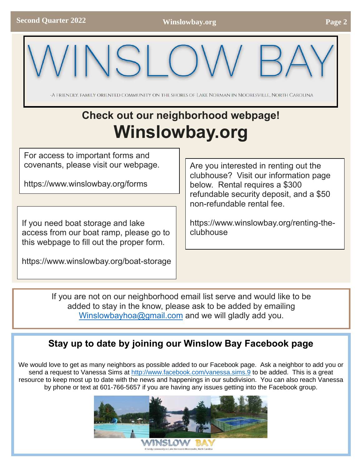-A Friendly, family oriented community on the shores of Lake Norman in Mooresville, North Carolina

# **Check out our neighborhood webpage! Winslowbay.org**

For access to important forms and covenants, please visit our webpage.

https://www.winslowbay.org/forms

If you need boat storage and lake access from our boat ramp, please go to this webpage to fill out the proper form.

https://www.winslowbay.org/boat-storage

Are you interested in renting out the clubhouse? Visit our information page below. Rental requires a \$300 refundable security deposit, and a \$50 non-refundable rental fee.

https://www.winslowbay.org/renting-theclubhouse

If you are not on our neighborhood email list serve and would like to be added to stay in the know, please ask to be added by emailing [Winslowbayhoa@gmail.com](mailto:Winslowbayhoa@gmail.com) and we will gladly add you.

# **Stay up to date by joining our Winslow Bay Facebook page**

We would love to get as many neighbors as possible added to our Facebook page. Ask a neighbor to add you or send a request to Vanessa Sims at<http://www.facebook.com/vanessa.sims.9> to be added. This is a great resource to keep most up to date with the news and happenings in our subdivision. You can also reach Vanessa by phone or text at 601-766-5657 if you are having any issues getting into the Facebook group.

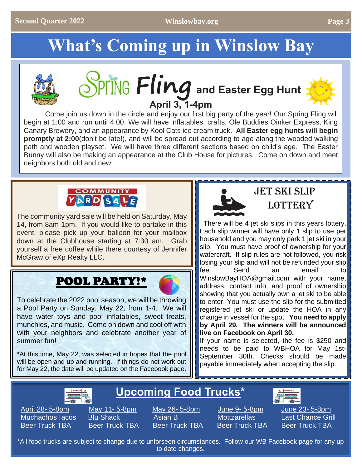# **What's Coming up in Winslow Bay**







[Com](https://www.melissasbargains.com/easter-basket-fillers-round-up/)e join us down in the circle and enjoy our first big party of the year! Our Spring Fling will begin at 1:00 and run until 4:00. We will have inflatables, crafts, Ole Buddies Oinker Express, King Canary Brewery, and an appearance by Kool Cats ice cream truck. **All Easter egg hunts will begin promptly at 2:00**(don't be late!), and will be spread out according to age along the wooded walking path and wooden playset. We will have three different sections based on child's age. The Easter Bu[nny will](https://creativecommons.org/licenses/by-nc-nd/3.0/) also be making an appearance at the Club House for pictures. Come on down and meet neighbors both old and new!



The community yard sale will be held on Saturday, May 14, from 8am-1pm. If you would like to partake in this event, please pick up your balloon for your mailbox down at the Clubhouse starting at 7:30 am. Grab yourself a free coffee while there courtesy of Jennifer McGraw of eXp Realty LLC.

# POOL PARTY!\*



To celebrate the 2022 pool season, we will be t[hrowi](http://www.pngall.com/beach-ball-png)ng a Pool Party on Sunday, May 22, from 1-4. [We](http://www.pngall.com/beach-ball-png) will have water toys and pool inflatables, sweet treats, munchies, and music. Come on down and cool off with with your neighbors and celebrate another year of summer fun!

**\***At this time, May 22, was selected in hopes that the pool will be open and up and running. If things do not [work o](https://creativecommons.org/licenses/by-nc/3.0/)ut for May 22, the date will be updated on the Faceb[ook pag](https://creativecommons.org/licenses/by-nc/3.0/)e.

# **JET SKI SLIP LOTTERY**

 There will be 4 jet ski slips in this years lottery. Each slip winner will have only 1 slip to use per household and you may only park 1 jet ski in your slip. You must have proof of ownership for your watercraft. If slip rules are not followed, you risk losing your slip and will not be refunded your slip fee. Send an email to WinslowBayHOA@gmail.com with your name, address, contact info, and proof of ownership showing that you actually own a jet ski to be able to enter. You must use the slip for the submitted registered jet ski or update the HOA in any change in vessel for the spot. **You need to apply by April 29. The winners will be announced live on Facebook on April 30.**

If your name is selected, the fee is \$250 and needs to be paid to WBHOA for May 1st-September 30th. Checks should be made payable immediately when accepting the slip.



# April 28- 5-8p[m](https://www.flickr.com/photos/notionscapital/29139516410/) May 11- 5-8pm May 26- 5-8pm June 9- 5-8pm [June](https://www.flickr.com/photos/notionscapital/29139516410/) 23- 5-8pm Beer Truck TBA Beer Truck TBA Beer Truck TBA Beer Truck TBA Beer Truck TBA

**Upcoming Food Trucks\***

MuchachosTa[cos](https://www.flickr.com/photos/notionscapital/29139516410/) Blu Shack Asian B Mottzarellas [Las](https://www.flickr.com/photos/notionscapital/29139516410/)t Chance Grill

\*All food trucks are subject to change due to unforseen circumstances. Follow our WB Facebook page for any up to date changes.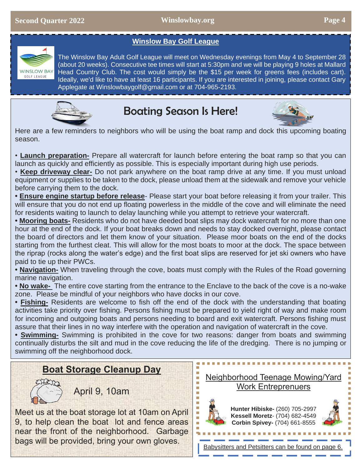### **Winslow Bay Golf League**



The Winslow Bay Adult Golf League will meet on Wednesday evenings from May 4 to September 28 (about 20 weeks). Consecutive tee times will start at 5:30pm and we will be playing 9 holes at Mallard Head Country Club. The cost would simply be the \$15 per week for greens fees (includes cart). Ideally, we'd like to have at least 16 participants. If you are interested in joining, please contact Gary Applegate at Winslowbaygolf@gmail.com or at 704-965-2193.



# Boating Season Is Here!



Here are a few reminders to neighbors who will be using the boat ramp and dock this upcoming boating season.

• **Launch preparation-** Prepare all watercraft for launch before entering the boat ramp so that you can launch as quickly and efficiently as possible. This is especially important during high use periods.

• **Keep driveway clear-** Do not park anywhere on the boat ramp drive at any time. If you must unload equipment or supplies to be taken to the dock, please unload them at the sidewalk and remove your vehicle before carrying them to the dock.

**• Ensure engine startup before release**- Please start your boat before releasing it from your trailer. This will ensure that you do not end up floating powerless in the middle of the cove and will eliminate the need for residents waiting to launch to delay launching while you attempt to retrieve your watercraft.

**• Mooring boats-** Residents who do not have deeded boat slips may dock watercraft for no more than one hour at the end of the dock. If your boat breaks down and needs to stay docked overnight, please contact the board of directors and let them know of your situation. Please moor boats on the end of the docks starting from the furthest cleat. This will allow for the most boats to moor at the dock. The space between the riprap (rocks along the water's edge) and the first boat slips are reserved for jet ski owners who have paid to tie up their PWCs.

**• Navigation-** When traveling through the cove, boats must comply with the Rules of the Road governing marine navigation.

**• No wake-** The entire cove starting from the entrance to the Enclave to the back of the cove is a no-wake zone. Please be mindful of your neighbors who have docks in our cove.

**• Fishing-** Residents are welcome to fish off the end of the dock with the understanding that boating activities take priority over fishing. Persons fishing must be prepared to yield right of way and make room for incoming and outgoing boats and persons needing to board and exit watercraft. Persons fishing must assure that their lines in no way interfere with the operation and navigation of watercraft in the cove.

**• Swimming-** Swimming is prohibited in the cove for two reasons: danger from boats and swimming continually disturbs the silt and mud in the cove reducing the life of the dredging. There is no jumping or swimming off the neighborhood dock.

### **Boat Storage Cleanup Day**



April 9, 10am

Meet us at the boat storage lot at 10am on April 9, to help clean the boat lot and fence areas near the front of the neighborhood. Garbage bags will be provided, bring your own gloves.





**Hunter Hibiske-** (260) 705-2997 **Kessell Moretz**- (704) 682-4549 **Corbin Spivey-** (704) 661-8555

Babysitters and Petsitters can be found on page 6.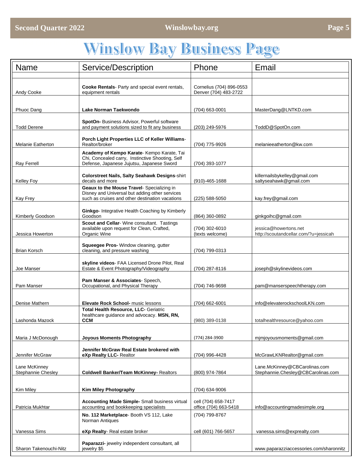# **Winslow Bay Business Page**

| <b>Name</b>                         | Service/Description                                                                            | Phone                    | Email                                                               |
|-------------------------------------|------------------------------------------------------------------------------------------------|--------------------------|---------------------------------------------------------------------|
|                                     |                                                                                                |                          |                                                                     |
|                                     | Cooke Rentals- Party and special event rentals,                                                | Cornelius (704) 896-0553 |                                                                     |
| Andy Cooke                          | equipment rentals                                                                              | Denver (704) 483-2722    |                                                                     |
| Phuoc Dang                          | Lake Norman Taekwondo                                                                          | (704) 663-0001           | MasterDang@LNTKD.com                                                |
|                                     |                                                                                                |                          |                                                                     |
| <b>Todd Derene</b>                  | SpotOn-Business Advisor, Powerful software<br>and payment solutions sized to fit any business  | (203) 249-5976           | ToddD@SpotOn.com                                                    |
|                                     | Porch Light Properties LLC of Keller Williams-                                                 |                          |                                                                     |
| <b>Melanie Eatherton</b>            | Realtor/broker                                                                                 | (704) 775-9926           | melanieeatherton@kw.com                                             |
|                                     | Academy of Kempo Karate- Kempo Karate, Tai<br>Chi, Concealed carry, Instinctive Shooting, Self |                          |                                                                     |
| <b>Ray Ferrell</b>                  | Defense, Japanese Jujutsu, Japanese Sword                                                      | (704) 393-1077           |                                                                     |
| <b>Kelley Foy</b>                   | <b>Colorstreet Nails, Salty Seahawk Designs-shirt</b><br>decals and more                       | $(910) - 465 - 1688$     | killernailsbykelley@gmail.com<br>saltyseahawk@gmail.com             |
|                                     | Geaux to the Mouse Travel- Specializing in<br>Disney and Universal but adding other services   |                          |                                                                     |
| <b>Kay Frey</b>                     | such as cruises and other destination vacations                                                | $(225)$ 588-5050         | kay.frey@gmail.com                                                  |
|                                     | Ginkgo- Integrative Health Coaching by Kimberly                                                |                          |                                                                     |
| Kimberly Goodson                    | Goodson<br>Scout and Cellar-Wine consultant. Tastings                                          | (864) 360-0892           | ginkgoihc@gmail.com                                                 |
|                                     | available upon request for Clean, Crafted,                                                     | (704) 302-6010           | jessica@howertons.net                                               |
| Jessica Howerton                    | Organic Wine                                                                                   | (texts welcome)          | http://scoutandcellar.com/?u=jessicah                               |
| Brian Korsch                        | Squeegee Pros- Window cleaning, gutter<br>cleaning, and pressure washing                       | (704) 799-0313           |                                                                     |
|                                     |                                                                                                |                          |                                                                     |
| Joe Manser                          | skyline videos- FAA Licensed Drone Pilot, Real<br>Estate & Event Photography/Videography       | (704) 287-8116           | joseph@skylinevideos.com                                            |
| Pam Manser                          | Pam Manser & Associates-Speech,<br>Occupational, and Physical Therapy                          | (704) 746-9698           | pam@manserspeechtherapy.com                                         |
|                                     |                                                                                                |                          |                                                                     |
| Denise Mathern                      | <b>Elevate Rock School-</b> music lessons<br>Total Health Resource, LLC- Geriatric             | $(704)$ 662-6001         | info@elevaterockschoolLKN.com                                       |
| Lashonda Mazock                     | healthcare quidance and advocacy. MSN, RN,<br><b>CCM</b>                                       | (980) 389-0138           | totalhealthresource@yahoo.com                                       |
|                                     |                                                                                                |                          |                                                                     |
| Maria J McDonough                   | Joyous Moments Photography                                                                     | (774) 284-3900           | mimioyousmoments@gmail.com                                          |
|                                     | Jennifer McGraw Real Estate brokered with                                                      |                          |                                                                     |
| Jennifer McGraw                     | eXp Realty LLC- Realtor                                                                        | (704) 996-4428           | McGrawLKNRealtor@gmail.com                                          |
| Lane McKinney<br>Stephannie Chesley | <b>Coldwell Banker/Team McKinney- Realtors</b>                                                 | (800) 974-7864           | Lane.McKinney@CBCarolinas.com<br>Stephannie.Chesley@CBCarolinas.com |
|                                     |                                                                                                |                          |                                                                     |
| Kim Miley                           | Kim Miley Photography                                                                          | (704) 634-9006           |                                                                     |
|                                     | <b>Accounting Made Simple-</b> Small business virtual                                          | cell (704) 658-7417      |                                                                     |
| Patricia Mukhtar                    | accounting and bookkeeping specialists                                                         | office (704) 663-5418    | info@accountingmadesimple.org                                       |
|                                     | No. 112 Marketplace- Booth VS 112, Lake<br>Norman Antiques                                     | (704) 799-8767           |                                                                     |
| Vanessa Sims                        | eXp Realty- Real estate broker                                                                 | cell (601) 766-5657      | vanessa.sims@exprealty.com                                          |
|                                     | Paparazzi- jewelry independent consultant, all                                                 |                          |                                                                     |
| Sharon Takenouchi-Nitz              | jewelry \$5                                                                                    |                          | www.paparazziaccessories.com/sharonnitz                             |